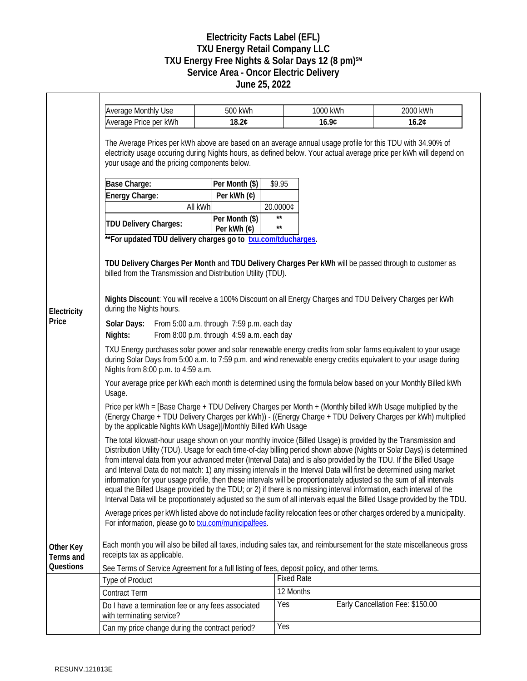## **Electricity Facts Label (EFL) TXU Energy Retail Company LLC TXU Energy Free Nights & Solar Days 12 (8 pm)SM Service Area - Oncor Electric Delivery June 25, 2022**

|                        | <b>Average Monthly Use</b>                                                                                                                                                                                                                                                                                                                                                                                                                                                                                                                                                                                                                                                                                                                                                                                                                                    | 500 kWh                       |                              | 1000 kWh | 2000 kWh                         |  |
|------------------------|---------------------------------------------------------------------------------------------------------------------------------------------------------------------------------------------------------------------------------------------------------------------------------------------------------------------------------------------------------------------------------------------------------------------------------------------------------------------------------------------------------------------------------------------------------------------------------------------------------------------------------------------------------------------------------------------------------------------------------------------------------------------------------------------------------------------------------------------------------------|-------------------------------|------------------------------|----------|----------------------------------|--|
|                        | Average Price per kWh                                                                                                                                                                                                                                                                                                                                                                                                                                                                                                                                                                                                                                                                                                                                                                                                                                         | 18.2¢                         |                              | 16.9¢    | 16.2¢                            |  |
|                        | The Average Prices per kWh above are based on an average annual usage profile for this TDU with 34.90% of<br>electricity usage occuring during Nights hours, as defined below. Your actual average price per kWh will depend on<br>your usage and the pricing components below.<br>\$9.95<br>Base Charge:<br>Per Month (\$)                                                                                                                                                                                                                                                                                                                                                                                                                                                                                                                                   |                               |                              |          |                                  |  |
| Electricity<br>Price   | Energy Charge:                                                                                                                                                                                                                                                                                                                                                                                                                                                                                                                                                                                                                                                                                                                                                                                                                                                | Per kWh (¢)                   |                              |          |                                  |  |
|                        |                                                                                                                                                                                                                                                                                                                                                                                                                                                                                                                                                                                                                                                                                                                                                                                                                                                               | All kWh                       | 20.0000¢                     |          |                                  |  |
|                        | TDU Delivery Charges:                                                                                                                                                                                                                                                                                                                                                                                                                                                                                                                                                                                                                                                                                                                                                                                                                                         | Per Month (\$)<br>Per kWh (¢) | $\star\star$<br>$\star\star$ |          |                                  |  |
|                        | **For updated TDU delivery charges go to txu.com/tducharges.<br>TDU Delivery Charges Per Month and TDU Delivery Charges Per kWh will be passed through to customer as<br>billed from the Transmission and Distribution Utility (TDU).<br>Nights Discount: You will receive a 100% Discount on all Energy Charges and TDU Delivery Charges per kWh<br>during the Nights hours.                                                                                                                                                                                                                                                                                                                                                                                                                                                                                 |                               |                              |          |                                  |  |
|                        | Solar Days: From 5:00 a.m. through 7:59 p.m. each day<br>From 8:00 p.m. through 4:59 a.m. each day<br>Nights:                                                                                                                                                                                                                                                                                                                                                                                                                                                                                                                                                                                                                                                                                                                                                 |                               |                              |          |                                  |  |
|                        | TXU Energy purchases solar power and solar renewable energy credits from solar farms equivalent to your usage<br>during Solar Days from 5:00 a.m. to 7:59 p.m. and wind renewable energy credits equivalent to your usage during<br>Nights from 8:00 p.m. to 4:59 a.m.                                                                                                                                                                                                                                                                                                                                                                                                                                                                                                                                                                                        |                               |                              |          |                                  |  |
|                        | Your average price per kWh each month is determined using the formula below based on your Monthly Billed kWh<br>Usage.                                                                                                                                                                                                                                                                                                                                                                                                                                                                                                                                                                                                                                                                                                                                        |                               |                              |          |                                  |  |
|                        | Price per kWh = [Base Charge + TDU Delivery Charges per Month + (Monthly billed kWh Usage multiplied by the<br>(Energy Charge + TDU Delivery Charges per kWh)) - ((Energy Charge + TDU Delivery Charges per kWh) multiplied<br>by the applicable Nights kWh Usage)]/Monthly Billed kWh Usage                                                                                                                                                                                                                                                                                                                                                                                                                                                                                                                                                                  |                               |                              |          |                                  |  |
|                        | The total kilowatt-hour usage shown on your monthly invoice (Billed Usage) is provided by the Transmission and<br>Distribution Utility (TDU). Usage for each time-of-day billing period shown above (Nights or Solar Days) is determined<br>from interval data from your advanced meter (Interval Data) and is also provided by the TDU. If the Billed Usage<br>and Interval Data do not match: 1) any missing intervals in the Interval Data will first be determined using market<br>information for your usage profile, then these intervals will be proportionately adjusted so the sum of all intervals<br>equal the Billed Usage provided by the TDU; or 2) if there is no missing interval information, each interval of the<br>Interval Data will be proportionately adjusted so the sum of all intervals equal the Billed Usage provided by the TDU. |                               |                              |          |                                  |  |
|                        | Average prices per kWh listed above do not include facility relocation fees or other charges ordered by a municipality.<br>For information, please go to <b>txu.com/municipalfees</b> .                                                                                                                                                                                                                                                                                                                                                                                                                                                                                                                                                                                                                                                                       |                               |                              |          |                                  |  |
| Other Key<br>Terms and | Each month you will also be billed all taxes, including sales tax, and reimbursement for the state miscellaneous gross<br>receipts tax as applicable.                                                                                                                                                                                                                                                                                                                                                                                                                                                                                                                                                                                                                                                                                                         |                               |                              |          |                                  |  |
| Questions              | See Terms of Service Agreement for a full listing of fees, deposit policy, and other terms.                                                                                                                                                                                                                                                                                                                                                                                                                                                                                                                                                                                                                                                                                                                                                                   |                               |                              |          |                                  |  |
|                        | <b>Type of Product</b>                                                                                                                                                                                                                                                                                                                                                                                                                                                                                                                                                                                                                                                                                                                                                                                                                                        |                               | <b>Fixed Rate</b>            |          |                                  |  |
|                        | <b>Contract Term</b>                                                                                                                                                                                                                                                                                                                                                                                                                                                                                                                                                                                                                                                                                                                                                                                                                                          |                               | 12 Months                    |          |                                  |  |
|                        | Do I have a termination fee or any fees associated<br>with terminating service?                                                                                                                                                                                                                                                                                                                                                                                                                                                                                                                                                                                                                                                                                                                                                                               |                               | Yes                          |          | Early Cancellation Fee: \$150.00 |  |
|                        | Can my price change during the contract period?                                                                                                                                                                                                                                                                                                                                                                                                                                                                                                                                                                                                                                                                                                                                                                                                               |                               | Yes                          |          |                                  |  |